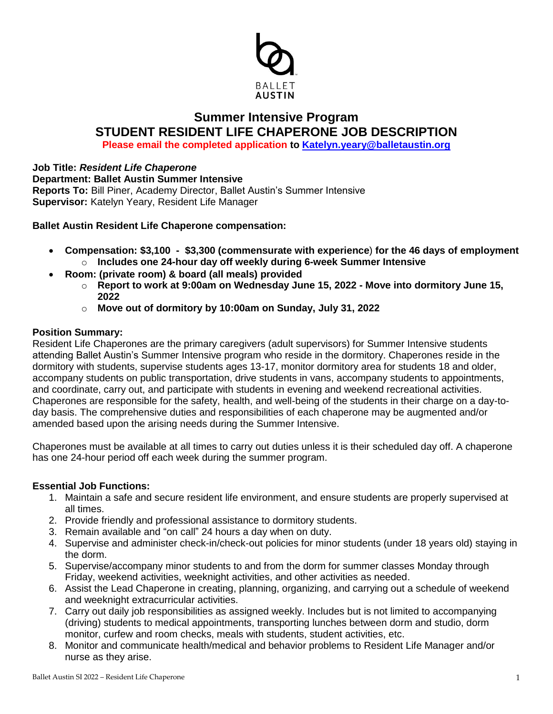

# **Summer Intensive Program STUDENT RESIDENT LIFE CHAPERONE JOB DESCRIPTION Please email the completed application to [Katelyn.yeary@balletaustin.org](mailto:Katelyn.yeary@balletaustin.org)**

**Job Title:** *Resident Life Chaperone* **Department: Ballet Austin Summer Intensive Reports To:** Bill Piner, Academy Director, Ballet Austin's Summer Intensive **Supervisor:** Katelyn Yeary, Resident Life Manager

**Ballet Austin Resident Life Chaperone compensation:**

- **Compensation: \$3,100 \$3,300 (commensurate with experience**) **for the 46 days of employment** o **Includes one 24-hour day off weekly during 6-week Summer Intensive**
- **Room: (private room) & board (all meals) provided**
	- o **Report to work at 9:00am on Wednesday June 15, 2022 - Move into dormitory June 15, 2022**
	- o **Move out of dormitory by 10:00am on Sunday, July 31, 2022**

## **Position Summary:**

Resident Life Chaperones are the primary caregivers (adult supervisors) for Summer Intensive students attending Ballet Austin's Summer Intensive program who reside in the dormitory. Chaperones reside in the dormitory with students, supervise students ages 13-17, monitor dormitory area for students 18 and older, accompany students on public transportation, drive students in vans, accompany students to appointments, and coordinate, carry out, and participate with students in evening and weekend recreational activities. Chaperones are responsible for the safety, health, and well-being of the students in their charge on a day-today basis. The comprehensive duties and responsibilities of each chaperone may be augmented and/or amended based upon the arising needs during the Summer Intensive.

Chaperones must be available at all times to carry out duties unless it is their scheduled day off. A chaperone has one 24-hour period off each week during the summer program.

### **Essential Job Functions:**

- 1. Maintain a safe and secure resident life environment, and ensure students are properly supervised at all times.
- 2. Provide friendly and professional assistance to dormitory students.
- 3. Remain available and "on call" 24 hours a day when on duty.
- 4. Supervise and administer check-in/check-out policies for minor students (under 18 years old) staying in the dorm.
- 5. Supervise/accompany minor students to and from the dorm for summer classes Monday through Friday, weekend activities, weeknight activities, and other activities as needed.
- 6. Assist the Lead Chaperone in creating, planning, organizing, and carrying out a schedule of weekend and weeknight extracurricular activities.
- 7. Carry out daily job responsibilities as assigned weekly. Includes but is not limited to accompanying (driving) students to medical appointments, transporting lunches between dorm and studio, dorm monitor, curfew and room checks, meals with students, student activities, etc.
- 8. Monitor and communicate health/medical and behavior problems to Resident Life Manager and/or nurse as they arise.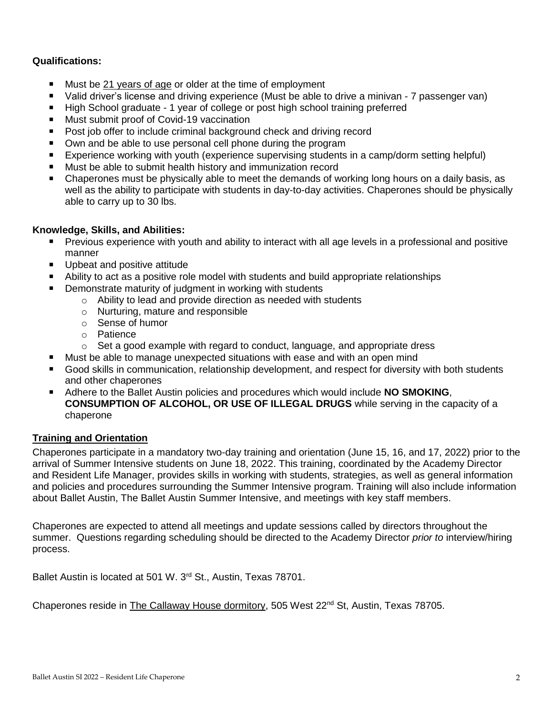## **Qualifications:**

- Must be 21 years of age or older at the time of employment
- Valid driver's license and driving experience (Must be able to drive a minivan 7 passenger van)
- High School graduate 1 year of college or post high school training preferred
- Must submit proof of Covid-19 vaccination
- Post job offer to include criminal background check and driving record
- Own and be able to use personal cell phone during the program
- Experience working with youth (experience supervising students in a camp/dorm setting helpful)
- Must be able to submit health history and immunization record
- Chaperones must be physically able to meet the demands of working long hours on a daily basis, as well as the ability to participate with students in day-to-day activities. Chaperones should be physically able to carry up to 30 lbs.

### **Knowledge, Skills, and Abilities:**

- **Previous experience with youth and ability to interact with all age levels in a professional and positive** manner
- **Upbeat and positive attitude**
- Ability to act as a positive role model with students and build appropriate relationships
- Demonstrate maturity of judgment in working with students
	- o Ability to lead and provide direction as needed with students
	- o Nurturing, mature and responsible
	- o Sense of humor
	- o Patience
	- $\circ$  Set a good example with regard to conduct, language, and appropriate dress
- Must be able to manage unexpected situations with ease and with an open mind
- Good skills in communication, relationship development, and respect for diversity with both students and other chaperones
- Adhere to the Ballet Austin policies and procedures which would include **NO SMOKING**, **CONSUMPTION OF ALCOHOL, OR USE OF ILLEGAL DRUGS** while serving in the capacity of a chaperone

### **Training and Orientation**

Chaperones participate in a mandatory two-day training and orientation (June 15, 16, and 17, 2022) prior to the arrival of Summer Intensive students on June 18, 2022. This training, coordinated by the Academy Director and Resident Life Manager, provides skills in working with students, strategies, as well as general information and policies and procedures surrounding the Summer Intensive program. Training will also include information about Ballet Austin, The Ballet Austin Summer Intensive, and meetings with key staff members.

Chaperones are expected to attend all meetings and update sessions called by directors throughout the summer. Questions regarding scheduling should be directed to the Academy Director *prior to* interview/hiring process.

Ballet Austin is located at 501 W. 3<sup>rd</sup> St., Austin, Texas 78701.

Chaperones reside in [The Callaway House dormitory,](http://callawayhouseaustin.com/) 505 West 22<sup>nd</sup> St, Austin, Texas 78705.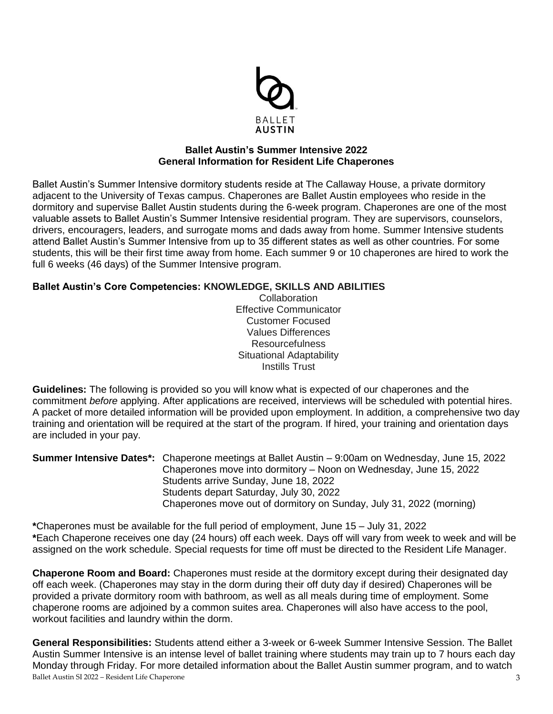

### **Ballet Austin's Summer Intensive 2022 General Information for Resident Life Chaperones**

Ballet Austin's Summer Intensive dormitory students reside at The Callaway House, a private dormitory adjacent to the University of Texas campus. Chaperones are Ballet Austin employees who reside in the dormitory and supervise Ballet Austin students during the 6-week program. Chaperones are one of the most valuable assets to Ballet Austin's Summer Intensive residential program. They are supervisors, counselors, drivers, encouragers, leaders, and surrogate moms and dads away from home. Summer Intensive students attend Ballet Austin's Summer Intensive from up to 35 different states as well as other countries. For some students, this will be their first time away from home. Each summer 9 or 10 chaperones are hired to work the full 6 weeks (46 days) of the Summer Intensive program.

## **Ballet Austin's Core Competencies: KNOWLEDGE, SKILLS AND ABILITIES**

**Collaboration** Effective Communicator Customer Focused Values Differences Resourcefulness Situational Adaptability Instills Trust

**Guidelines:** The following is provided so you will know what is expected of our chaperones and the commitment *before* applying. After applications are received, interviews will be scheduled with potential hires. A packet of more detailed information will be provided upon employment. In addition, a comprehensive two day training and orientation will be required at the start of the program. If hired, your training and orientation days are included in your pay.

**Summer Intensive Dates\*:** Chaperone meetings at Ballet Austin – 9:00am on Wednesday, June 15, 2022 Chaperones move into dormitory – Noon on Wednesday, June 15, 2022 Students arrive Sunday, June 18, 2022 Students depart Saturday, July 30, 2022 Chaperones move out of dormitory on Sunday, July 31, 2022 (morning)

**\***Chaperones must be available for the full period of employment, June 15 – July 31, 2022 **\***Each Chaperone receives one day (24 hours) off each week. Days off will vary from week to week and will be assigned on the work schedule. Special requests for time off must be directed to the Resident Life Manager.

**Chaperone Room and Board:** Chaperones must reside at the dormitory except during their designated day off each week. (Chaperones may stay in the dorm during their off duty day if desired) Chaperones will be provided a private dormitory room with bathroom, as well as all meals during time of employment. Some chaperone rooms are adjoined by a common suites area. Chaperones will also have access to the pool, workout facilities and laundry within the dorm.

Ballet Austin SI 2022 – Resident Life Chaperone 3 **General Responsibilities:** Students attend either a 3-week or 6-week Summer Intensive Session. The Ballet Austin Summer Intensive is an intense level of ballet training where students may train up to 7 hours each day Monday through Friday. For more detailed information about the Ballet Austin summer program, and to watch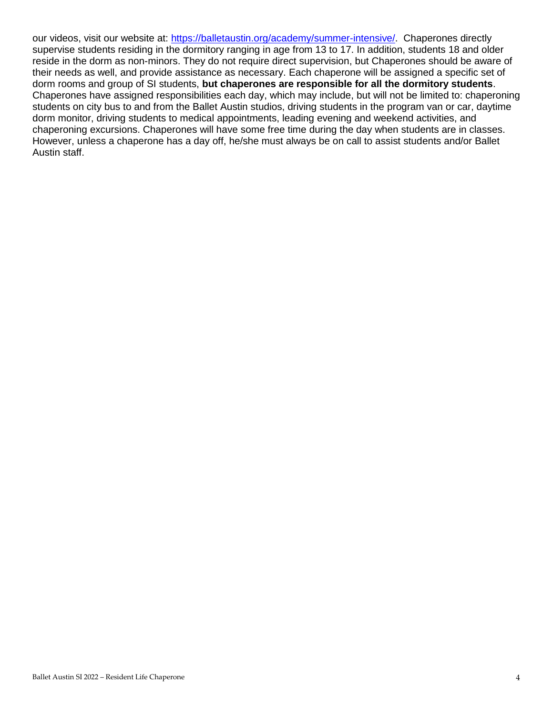our videos, visit our website at: [https://balletaustin.org/academy/summer-intensive/.](https://balletaustin.org/academy/summer-intensive/) Chaperones directly supervise students residing in the dormitory ranging in age from 13 to 17. In addition, students 18 and older reside in the dorm as non-minors. They do not require direct supervision, but Chaperones should be aware of their needs as well, and provide assistance as necessary. Each chaperone will be assigned a specific set of dorm rooms and group of SI students, **but chaperones are responsible for all the dormitory students**. Chaperones have assigned responsibilities each day, which may include, but will not be limited to: chaperoning students on city bus to and from the Ballet Austin studios, driving students in the program van or car, daytime dorm monitor, driving students to medical appointments, leading evening and weekend activities, and chaperoning excursions. Chaperones will have some free time during the day when students are in classes. However, unless a chaperone has a day off, he/she must always be on call to assist students and/or Ballet Austin staff.